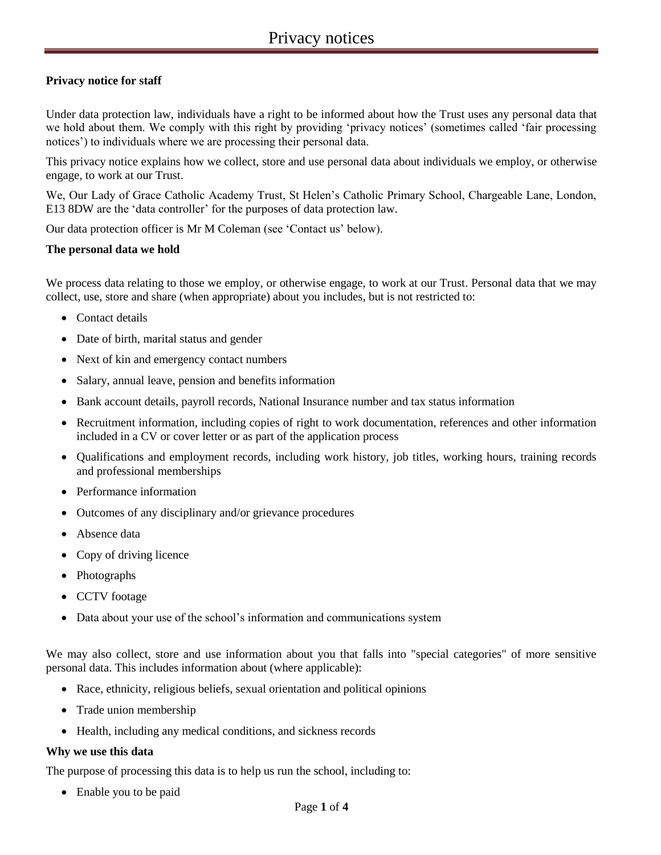# **Privacy notice for staff**

Under data protection law, individuals have a right to be informed about how the Trust uses any personal data that we hold about them. We comply with this right by providing 'privacy notices' (sometimes called 'fair processing notices') to individuals where we are processing their personal data.

This privacy notice explains how we collect, store and use personal data about individuals we employ, or otherwise engage, to work at our Trust.

We, Our Lady of Grace Catholic Academy Trust, St Helen's Catholic Primary School, Chargeable Lane, London, E13 8DW are the 'data controller' for the purposes of data protection law.

Our data protection officer is Mr M Coleman (see 'Contact us' below).

### **The personal data we hold**

We process data relating to those we employ, or otherwise engage, to work at our Trust. Personal data that we may collect, use, store and share (when appropriate) about you includes, but is not restricted to:

- Contact details
- Date of birth, marital status and gender
- Next of kin and emergency contact numbers
- Salary, annual leave, pension and benefits information
- Bank account details, payroll records, National Insurance number and tax status information
- Recruitment information, including copies of right to work documentation, references and other information included in a CV or cover letter or as part of the application process
- Qualifications and employment records, including work history, job titles, working hours, training records and professional memberships
- Performance information
- Outcomes of any disciplinary and/or grievance procedures
- Absence data
- Copy of driving licence
- Photographs
- CCTV footage
- Data about your use of the school's information and communications system

We may also collect, store and use information about you that falls into "special categories" of more sensitive personal data. This includes information about (where applicable):

- Race, ethnicity, religious beliefs, sexual orientation and political opinions
- Trade union membership
- Health, including any medical conditions, and sickness records

### **Why we use this data**

The purpose of processing this data is to help us run the school, including to:

• Enable you to be paid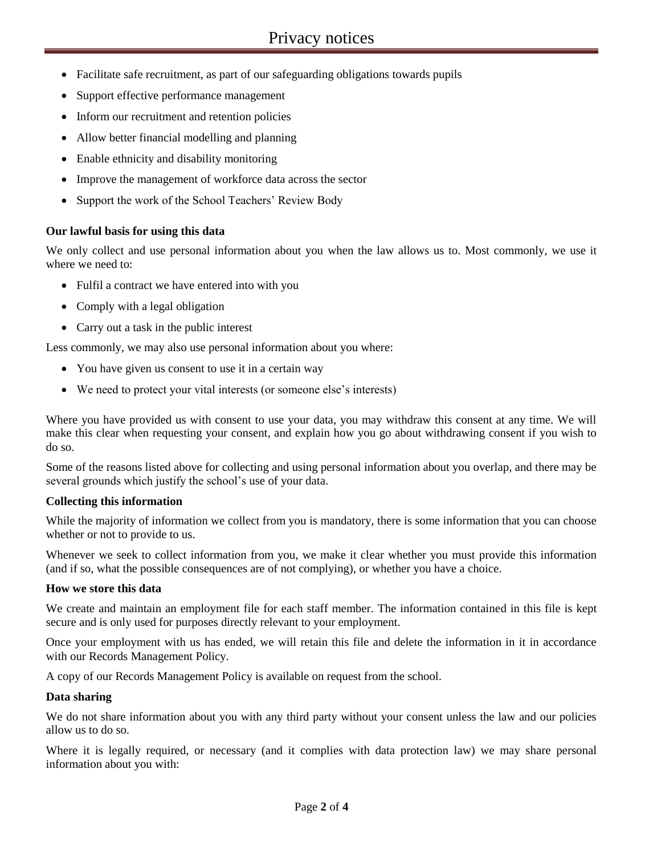- Facilitate safe recruitment, as part of our safeguarding obligations towards pupils
- Support effective performance management
- Inform our recruitment and retention policies
- Allow better financial modelling and planning
- Enable ethnicity and disability monitoring
- Improve the management of workforce data across the sector
- Support the work of the School Teachers' Review Body

### **Our lawful basis for using this data**

We only collect and use personal information about you when the law allows us to. Most commonly, we use it where we need to:

- Fulfil a contract we have entered into with you
- Comply with a legal obligation
- Carry out a task in the public interest

Less commonly, we may also use personal information about you where:

- You have given us consent to use it in a certain way
- We need to protect your vital interests (or someone else's interests)

Where you have provided us with consent to use your data, you may withdraw this consent at any time. We will make this clear when requesting your consent, and explain how you go about withdrawing consent if you wish to do so.

Some of the reasons listed above for collecting and using personal information about you overlap, and there may be several grounds which justify the school's use of your data.

### **Collecting this information**

While the majority of information we collect from you is mandatory, there is some information that you can choose whether or not to provide to us.

Whenever we seek to collect information from you, we make it clear whether you must provide this information (and if so, what the possible consequences are of not complying), or whether you have a choice.

### **How we store this data**

We create and maintain an employment file for each staff member. The information contained in this file is kept secure and is only used for purposes directly relevant to your employment.

Once your employment with us has ended, we will retain this file and delete the information in it in accordance with our Records Management Policy.

A copy of our Records Management Policy is available on request from the school.

### **Data sharing**

We do not share information about you with any third party without your consent unless the law and our policies allow us to do so.

Where it is legally required, or necessary (and it complies with data protection law) we may share personal information about you with: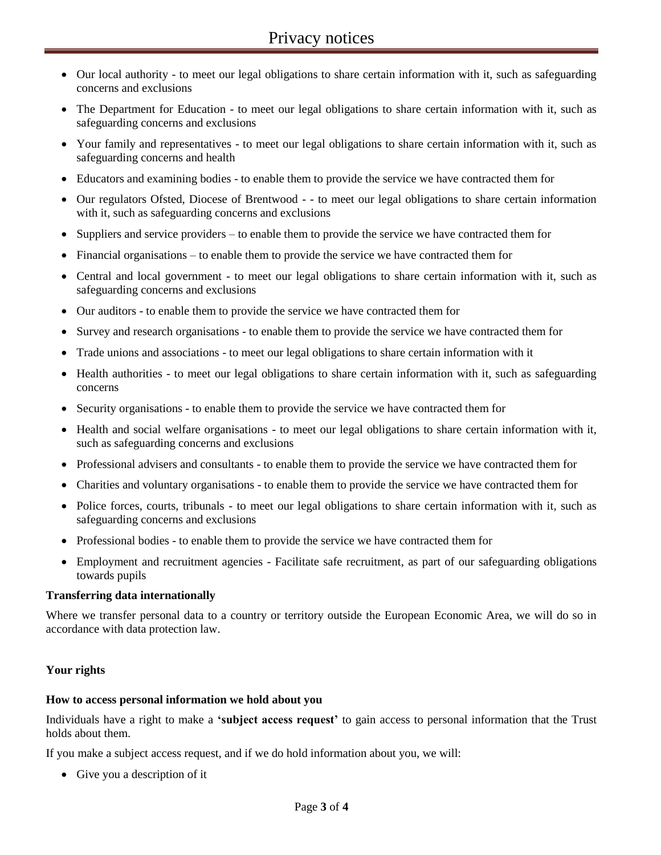- Our local authority to meet our legal obligations to share certain information with it, such as safeguarding concerns and exclusions
- The Department for Education to meet our legal obligations to share certain information with it, such as safeguarding concerns and exclusions
- Your family and representatives to meet our legal obligations to share certain information with it, such as safeguarding concerns and health
- Educators and examining bodies to enable them to provide the service we have contracted them for
- Our regulators Ofsted, Diocese of Brentwood - to meet our legal obligations to share certain information with it, such as safeguarding concerns and exclusions
- Suppliers and service providers to enable them to provide the service we have contracted them for
- Financial organisations to enable them to provide the service we have contracted them for
- Central and local government to meet our legal obligations to share certain information with it, such as safeguarding concerns and exclusions
- Our auditors to enable them to provide the service we have contracted them for
- Survey and research organisations to enable them to provide the service we have contracted them for
- Trade unions and associations to meet our legal obligations to share certain information with it
- Health authorities to meet our legal obligations to share certain information with it, such as safeguarding concerns
- Security organisations to enable them to provide the service we have contracted them for
- Health and social welfare organisations to meet our legal obligations to share certain information with it, such as safeguarding concerns and exclusions
- Professional advisers and consultants to enable them to provide the service we have contracted them for
- Charities and voluntary organisations to enable them to provide the service we have contracted them for
- Police forces, courts, tribunals to meet our legal obligations to share certain information with it, such as safeguarding concerns and exclusions
- Professional bodies to enable them to provide the service we have contracted them for
- Employment and recruitment agencies Facilitate safe recruitment, as part of our safeguarding obligations towards pupils

### **Transferring data internationally**

Where we transfer personal data to a country or territory outside the European Economic Area, we will do so in accordance with data protection law.

### **Your rights**

#### **How to access personal information we hold about you**

Individuals have a right to make a **'subject access request'** to gain access to personal information that the Trust holds about them.

If you make a subject access request, and if we do hold information about you, we will:

Give you a description of it